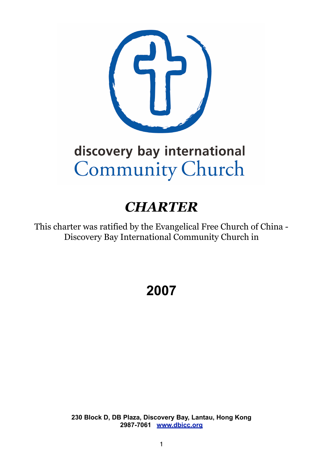

# discovery bay international **Community Church**

# *CHARTER*

This charter was ratified by the Evangelical Free Church of China - Discovery Bay International Community Church in

# **2007**

**230 Block D, DB Plaza, Discovery Bay, Lantau, Hong Kong 2987-7061 [www.dbicc.org](http://www.dbicc.org)**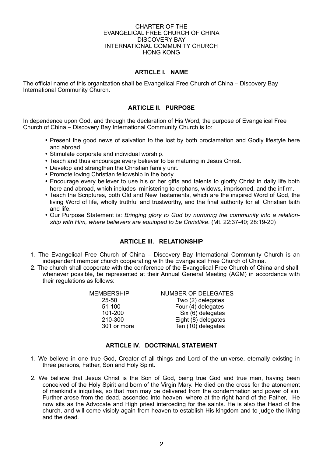#### CHARTER OF THE EVANGELICAL FREE CHURCH OF CHINA DISCOVERY BAY INTERNATIONAL COMMUNITY CHURCH HONG KONG

### **ARTICLE I. NAME**

The official name of this organization shall be Evangelical Free Church of China – Discovery Bay International Community Church.

### **ARTICLE II. PURPOSE**

In dependence upon God, and through the declaration of His Word, the purpose of Evangelical Free Church of China – Discovery Bay International Community Church is to:

- Present the good news of salvation to the lost by both proclamation and Godly lifestyle here and abroad.
- Stimulate corporate and individual worship.
- Teach and thus encourage every believer to be maturing in Jesus Christ.
- Develop and strengthen the Christian family unit.
- Promote loving Christian fellowship in the body.
- Encourage every believer to use his or her gifts and talents to glorify Christ in daily life both here and abroad, which includes ministering to orphans, widows, imprisoned, and the infirm.
- Teach the Scriptures, both Old and New Testaments, which are the inspired Word of God, the living Word of life, wholly truthful and trustworthy, and the final authority for all Christian faith and life.
- Our Purpose Statement is: *Bringing glory to God by nurturing the community into a relationship with Him, where believers are equipped to be Christlike*. (Mt. 22:37-40; 28:19-20)

# **ARTICLE III. RELATIONSHIP**

- 1. The Evangelical Free Church of China Discovery Bay International Community Church is an independent member church cooperating with the Evangelical Free Church of China.
- 2. The church shall cooperate with the conference of the Evangelical Free Church of China and shall, whenever possible, be represented at their Annual General Meeting (AGM) in accordance with their regulations as follows:

| <b>MEMBERSHIP</b> | NUMBER OF DELEGATES |
|-------------------|---------------------|
| $25 - 50$         | Two (2) delegates   |
| 51-100            | Four (4) delegates  |
| 101-200           | Six (6) delegates   |
| 210-300           | Eight (8) delegates |
| 301 or more       | Ten (10) delegates  |

# **ARTICLE IV. DOCTRINAL STATEMENT**

- 1. We believe in one true God, Creator of all things and Lord of the universe, eternally existing in three persons, Father, Son and Holy Spirit.
- 2. We believe that Jesus Christ is the Son of God, being true God and true man, having been conceived of the Holy Spirit and born of the Virgin Mary. He died on the cross for the atonement of mankind's iniquities, so that man may be delivered from the condemnation and power of sin. Further arose from the dead, ascended into heaven, where at the right hand of the Father, He now sits as the Advocate and High priest interceding for the saints. He is also the Head of the church, and will come visibly again from heaven to establish His kingdom and to judge the living and the dead.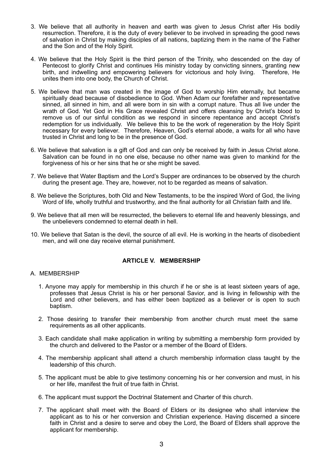- 3. We believe that all authority in heaven and earth was given to Jesus Christ after His bodily resurrection. Therefore, it is the duty of every believer to be involved in spreading the good news of salvation in Christ by making disciples of all nations, baptizing them in the name of the Father and the Son and of the Holy Spirit.
- 4. We believe that the Holy Spirit is the third person of the Trinity, who descended on the day of Pentecost to glorify Christ and continues His ministry today by convicting sinners, granting new birth, and indwelling and empowering believers for victorious and holy living. Therefore, He unites them into one body, the Church of Christ.
- 5. We believe that man was created in the image of God to worship Him eternally, but became spiritually dead because of disobedience to God. When Adam our forefather and representative sinned, all sinned in him, and all were born in sin with a corrupt nature. Thus all live under the wrath of God. Yet God in His Grace revealed Christ and offers cleansing by Christ's blood to remove us of our sinful condition as we respond in sincere repentance and accept Christ's redemption for us individually. We believe this to be the work of regeneration by the Holy Spirit necessary for every believer. Therefore, Heaven, God's eternal abode, a waits for all who have trusted in Christ and long to be in the presence of God.
- 6. We believe that salvation is a gift of God and can only be received by faith in Jesus Christ alone. Salvation can be found in no one else, because no other name was given to mankind for the forgiveness of his or her sins that he or she might be saved.
- 7. We believe that Water Baptism and the Lord's Supper are ordinances to be observed by the church during the present age. They are, however, not to be regarded as means of salvation.
- 8. We believe the Scriptures, both Old and New Testaments, to be the inspired Word of God, the living Word of life, wholly truthful and trustworthy, and the final authority for all Christian faith and life.
- 9. We believe that all men will be resurrected, the believers to eternal life and heavenly blessings, and the unbelievers condemned to eternal death in hell.
- 10. We believe that Satan is the devil, the source of all evil. He is working in the hearts of disobedient men, and will one day receive eternal punishment.

#### **ARTICLE V. MEMBERSHIP**

#### A. MEMBERSHIP

- 1. Anyone may apply for membership in this church if he or she is at least sixteen years of age, professes that Jesus Christ is his or her personal Savior, and is living in fellowship with the Lord and other believers, and has either been baptized as a believer or is open to such baptism.
- 2. Those desiring to transfer their membership from another church must meet the same requirements as all other applicants.
- 3. Each candidate shall make application in writing by submitting a membership form provided by the church and delivered to the Pastor or a member of the Board of Elders.
- 4. The membership applicant shall attend a church membership information class taught by the leadership of this church.
- 5. The applicant must be able to give testimony concerning his or her conversion and must, in his or her life, manifest the fruit of true faith in Christ.
- 6. The applicant must support the Doctrinal Statement and Charter of this church.
- 7. The applicant shall meet with the Board of Elders or its designee who shall interview the applicant as to his or her conversion and Christian experience. Having discerned a sincere faith in Christ and a desire to serve and obey the Lord, the Board of Elders shall approve the applicant for membership.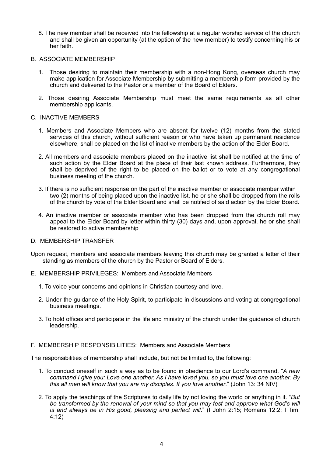8. The new member shall be received into the fellowship at a regular worship service of the church and shall be given an opportunity (at the option of the new member) to testify concerning his or her faith.

#### B. ASSOCIATE MEMBERSHIP

- 1. Those desiring to maintain their membership with a non-Hong Kong, overseas church may make application for Associate Membership by submitting a membership form provided by the church and delivered to the Pastor or a member of the Board of Elders.
- 2. Those desiring Associate Membership must meet the same requirements as all other membership applicants.

#### C. INACTIVE MEMBERS

- 1. Members and Associate Members who are absent for twelve (12) months from the stated services of this church, without sufficient reason or who have taken up permanent residence elsewhere, shall be placed on the list of inactive members by the action of the Elder Board.
- 2. All members and associate members placed on the inactive list shall be notified at the time of such action by the Elder Board at the place of their last known address. Furthermore, they shall be deprived of the right to be placed on the ballot or to vote at any congregational business meeting of the church.
- 3. If there is no sufficient response on the part of the inactive member or associate member within two (2) months of being placed upon the inactive list, he or she shall be dropped from the rolls of the church by vote of the Elder Board and shall be notified of said action by the Elder Board.
- 4. An inactive member or associate member who has been dropped from the church roll may appeal to the Elder Board by letter within thirty (30) days and, upon approval, he or she shall be restored to active membership

#### D. MEMBERSHIP TRANSFER

- Upon request, members and associate members leaving this church may be granted a letter of their standing as members of the church by the Pastor or Board of Elders.
- E. MEMBERSHIP PRIVILEGES: Members and Associate Members
	- 1. To voice your concerns and opinions in Christian courtesy and love.
	- 2. Under the guidance of the Holy Spirit, to participate in discussions and voting at congregational business meetings.
	- 3. To hold offices and participate in the life and ministry of the church under the guidance of church leadership.
- F. MEMBERSHIP RESPONSIBILITIES: Members and Associate Members

The responsibilities of membership shall include, but not be limited to, the following:

- 1. To conduct oneself in such a way as to be found in obedience to our Lord's command. "*A new command I give you: Love one another. As I have loved you, so you must love one another. By this all men will know that you are my disciples. If you love another*." (John 13: 34 NIV)
- 2. To apply the teachings of the Scriptures to daily life by not loving the world or anything in it. "*But*  be transformed by the renewal of your mind so that you may test and approve what God's will *is and always be in His good, pleasing and perfect will*." (I John 2:15; Romans 12:2; I Tim. 4:12)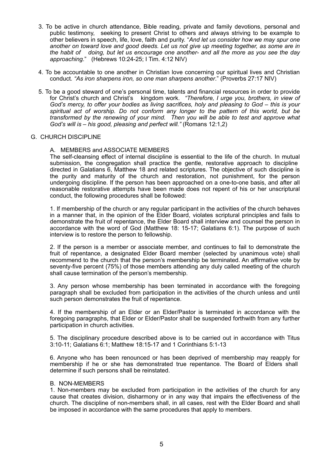- 3. To be active in church attendance, Bible reading, private and family devotions, personal and public testimony, seeking to present Christ to others and always striving to be example to other believers in speech, life, love, faith and purity. "*And let us consider how we may spur one another on toward love and good deeds. Let us not give up meeting together, as some are in the habit of doing, but let us encourage one another- and all the more as you see the day approaching*." (Hebrews 10:24-25; I Tim. 4:12 NIV)
- 4. To be accountable to one another in Christian love concerning our spiritual lives and Christian conduct*. "As iron sharpens iron, so one man sharpens another*." (Proverbs 27:17 NIV)
- 5. To be a good steward of one's personal time, talents and financial resources in order to provide for Christ's church and Christ's kingdom work. *"Therefore, I urge you, brothers, in view of God's mercy, to offer your bodies as living sacrifices, holy and pleasing to God – this is your spiritual act of worship. Do not conform any longer to the pattern of this world, but be transformed by the renewing of your mind. Then you will be able to test and approve what God's will is – his good, pleasing and perfect will."* (Romans 12:1,2)

#### G. CHURCH DISCIPLINE

#### A. MEMBERS and ASSOCIATE MEMBERS

The self-cleansing effect of internal discipline is essential to the life of the church. In mutual submission, the congregation shall practice the gentle, restorative approach to discipline directed in Galatians 6, Matthew 18 and related scriptures. The objective of such discipline is the purity and maturity of the church and restoration, not punishment, for the person undergoing discipline. If the person has been approached on a one-to-one basis, and after all reasonable restorative attempts have been made does not repent of his or her unscriptural conduct, the following procedures shall be followed:

1. If membership of the church or any regular participant in the activities of the church behaves in a manner that, in the opinion of the Elder Board, violates scriptural principles and fails to demonstrate the fruit of repentance, the Elder Board shall interview and counsel the person in accordance with the word of God (Matthew 18: 15-17; Galatians 6:1). The purpose of such interview is to restore the person to fellowship.

2. If the person is a member or associate member, and continues to fail to demonstrate the fruit of repentance, a designated Elder Board member (selected by unanimous vote) shall recommend to the church that the person's membership be terminated. An affirmative vote by seventy-five percent (75%) of those members attending any duly called meeting of the church shall cause termination of the person's membership.

3. Any person whose membership has been terminated in accordance with the foregoing paragraph shall be excluded from participation in the activities of the church unless and until such person demonstrates the fruit of repentance.

4. If the membership of an Elder or an Elder/Pastor is terminated in accordance with the foregoing paragraphs, that Elder or Elder/Pastor shall be suspended forthwith from any further participation in church activities.

5. The disciplinary procedure described above is to be carried out in accordance with Titus 3:10-11; Galatians 6:1; Matthew 18:15-17 and 1 Corinthians 5:1-13

6. Anyone who has been renounced or has been deprived of membership may reapply for membership if he or she has demonstrated true repentance. The Board of Elders shall determine if such persons shall be reinstated.

#### B. NON-MEMBERS

1. Non-members may be excluded from participation in the activities of the church for any cause that creates division, disharmony or in any way that impairs the effectiveness of the church. The discipline of non-members shall, in all cases, rest with the Elder Board and shall be imposed in accordance with the same procedures that apply to members.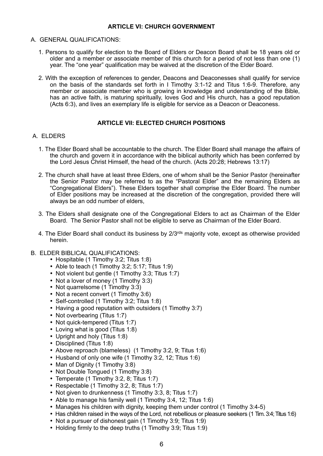# **ARTICLE VI: CHURCH GOVERNMENT**

### A. GENERAL QUALIFICATIONS:

- 1. Persons to qualify for election to the Board of Elders or Deacon Board shall be 18 years old or older and a member or associate member of this church for a period of not less than one (1) year. The "one year" qualification may be waived at the discretion of the Elder Board.
- 2. With the exception of references to gender, Deacons and Deaconesses shall qualify for service on the basis of the standards set forth in I Timothy 3:1-12 and Titus 1:6-9. Therefore, any member or associate member who is growing in knowledge and understanding of the Bible, has an active faith, is maturing spiritually, loves God and His church, has a good reputation (Acts 6:3), and lives an exemplary life is eligible for service as a Deacon or Deaconess.

# **ARTICLE VII: ELECTED CHURCH POSITIONS**

# A. ELDERS

- 1. The Elder Board shall be accountable to the church. The Elder Board shall manage the affairs of the church and govern it in accordance with the biblical authority which has been conferred by the Lord Jesus Christ Himself, the head of the church. (Acts 20:28; Hebrews 13:17)
- 2. The church shall have at least three Elders, one of whom shall be the Senior Pastor (hereinafter the Senior Pastor may be referred to as the "Pastoral Elder" and the remaining Elders as "Congregational Elders"). These Elders together shall comprise the Elder Board. The number of Elder positions may be increased at the discretion of the congregation, provided there will always be an odd number of elders,
- 3. The Elders shall designate one of the Congregational Elders to act as Chairman of the Elder Board. The Senior Pastor shall not be eligible to serve as Chairman of the Elder Board.
- 4. The Elder Board shall conduct its business by 2/3rds majority vote, except as otherwise provided herein.
- B. ELDER BIBLICAL QUALIFICATIONS:
	- Hospitable (1 Timothy 3:2; Titus 1:8)
	- Able to teach (1 Timothy 3:2; 5:17; Titus 1:9)
	- Not violent but gentle (1 Timothy 3:3; Titus 1:7)
	- Not a lover of money (1 Timothy 3:3)
	- Not quarrelsome (1 Timothy 3:3)
	- Not a recent convert (1 Timothy 3:6)
	- Self-controlled (1 Timothy 3:2; Titus 1:8)
	- Having a good reputation with outsiders (1 Timothy 3:7)
	- Not overbearing (Titus 1:7)
	- Not quick-tempered (Titus 1:7)
	- Loving what is good (Titus 1:8)
	- Upright and holy (Titus 1:8)
	- Disciplined (Titus 1:8)
	- Above reproach (blameless) (1 Timothy 3:2, 9; Titus 1:6)
	- Husband of only one wife (1 Timothy 3:2, 12; Titus 1:6)
	- Man of Dignity (1 Timothy 3:8)
	- Not Double Tongued (1 Timothy 3:8)
	- Temperate (1 Timothy 3:2, 8; Titus 1:7)
	- Respectable (1 Timothy 3:2, 8; Titus 1:7)
	- Not given to drunkenness (1 Timothy 3:3, 8; Titus 1:7)
	- Able to manage his family well (1 Timothy 3:4, 12; Titus 1:6)
	- Manages his children with dignity, keeping them under control (1 Timothy 3:4-5)
	- Has children raised in the ways of the Lord, not rebellious or pleasure seekers (1 Tim. 3:4; Titus 1:6)
	- Not a pursuer of dishonest gain (1 Timothy 3:9; Titus 1:9)
	- Holding firmly to the deep truths (1 Timothy 3:9; Titus 1:9)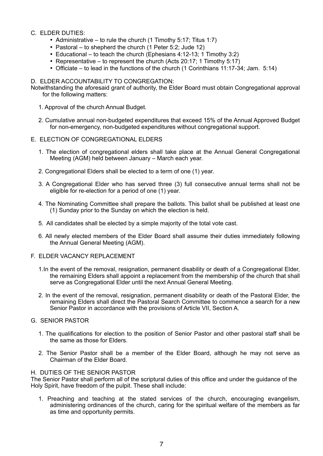# C. ELDER DUTIES:

- Administrative to rule the church (1 Timothy 5:17; Titus 1:7)
- Pastoral to shepherd the church (1 Peter 5:2; Jude 12)
- Educational to teach the church (Ephesians 4:12-13; 1 Timothy 3:2)
- Representative to represent the church (Acts 20:17; 1 Timothy 5:17)
- Officiate to lead in the functions of the church (1 Corinthians 11:17-34; Jam. 5:14)

# D. ELDER ACCOUNTABILITY TO CONGREGATION:

Notwithstanding the aforesaid grant of authority, the Elder Board must obtain Congregational approval for the following matters:

- 1. Approval of the church Annual Budget.
- 2. Cumulative annual non-budgeted expenditures that exceed 15% of the Annual Approved Budget for non-emergency, non-budgeted expenditures without congregational support.
- E. ELECTION OF CONGREGATIONAL ELDERS
	- 1. The election of congregational elders shall take place at the Annual General Congregational Meeting (AGM) held between January – March each year.
	- 2. Congregational Elders shall be elected to a term of one (1) year.
	- 3. A Congregational Elder who has served three (3) full consecutive annual terms shall not be eligible for re-election for a period of one (1) year.
	- 4. The Nominating Committee shall prepare the ballots. This ballot shall be published at least one (1) Sunday prior to the Sunday on which the election is held.
	- 5. All candidates shall be elected by a simple majority of the total vote cast.
	- 6. All newly elected members of the Elder Board shall assume their duties immediately following the Annual General Meeting (AGM).

### F. ELDER VACANCY REPLACEMENT

- 1.In the event of the removal, resignation, permanent disability or death of a Congregational Elder, the remaining Elders shall appoint a replacement from the membership of the church that shall serve as Congregational Elder until the next Annual General Meeting.
- 2. In the event of the removal, resignation, permanent disability or death of the Pastoral Elder, the remaining Elders shall direct the Pastoral Search Committee to commence a search for a new Senior Pastor in accordance with the provisions of Article VII, Section A.

#### G. SENIOR PASTOR

- 1. The qualifications for election to the position of Senior Pastor and other pastoral staff shall be the same as those for Elders.
- 2. The Senior Pastor shall be a member of the Elder Board, although he may not serve as Chairman of the Elder Board.

#### H. DUTIES OF THE SENIOR PASTOR

The Senior Pastor shall perform all of the scriptural duties of this office and under the guidance of the Holy Spirit, have freedom of the pulpit. These shall include:

1. Preaching and teaching at the stated services of the church, encouraging evangelism, administering ordinances of the church, caring for the spiritual welfare of the members as far as time and opportunity permits.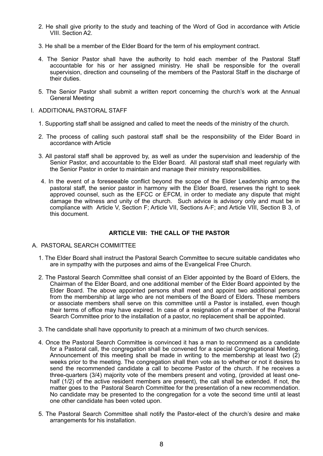- 2. He shall give priority to the study and teaching of the Word of God in accordance with Article VIII. Section A2.
- 3. He shall be a member of the Elder Board for the term of his employment contract.
- 4. The Senior Pastor shall have the authority to hold each member of the Pastoral Staff accountable for his or her assigned ministry. He shall be responsible for the overall supervision, direction and counseling of the members of the Pastoral Staff in the discharge of their duties.
- 5. The Senior Pastor shall submit a written report concerning the church's work at the Annual General Meeting
- I. ADDITIONAL PASTORAL STAFF
	- 1. Supporting staff shall be assigned and called to meet the needs of the ministry of the church.
	- 2. The process of calling such pastoral staff shall be the responsibility of the Elder Board in accordance with Article
	- 3. All pastoral staff shall be approved by, as well as under the supervision and leadership of the Senior Pastor, and accountable to the Elder Board. All pastoral staff shall meet regularly with the Senior Pastor in order to maintain and manage their ministry responsibilities.
	- 4. In the event of a foreseeable conflict beyond the scope of the Elder Leadership among the pastoral staff, the senior pastor in harmony with the Elder Board, reserves the right to seek approved counsel, such as the EFCC or EFCM, in order to mediate any dispute that might damage the witness and unity of the church. Such advice is advisory only and must be in compliance with Article V, Section F; Article VII, Sections A-F; and Article VIII, Section B 3, of this document.

# **ARTICLE VIII: THE CALL OF THE PASTOR**

- A. PASTORAL SEARCH COMMITTEE
	- 1. The Elder Board shall instruct the Pastoral Search Committee to secure suitable candidates who are in sympathy with the purposes and aims of the Evangelical Free Church.
	- 2. The Pastoral Search Committee shall consist of an Elder appointed by the Board of Elders, the Chairman of the Elder Board, and one additional member of the Elder Board appointed by the Elder Board. The above appointed persons shall meet and appoint two additional persons from the membership at large who are not members of the Board of Elders. These members or associate members shall serve on this committee until a Pastor is installed, even though their terms of office may have expired. In case of a resignation of a member of the Pastoral Search Committee prior to the installation of a pastor, no replacement shall be appointed.
	- 3. The candidate shall have opportunity to preach at a minimum of two church services.
	- 4. Once the Pastoral Search Committee is convinced it has a man to recommend as a candidate for a Pastoral call, the congregation shall be convened for a special Congregational Meeting. Announcement of this meeting shall be made in writing to the membership at least two (2) weeks prior to the meeting. The congregation shall then vote as to whether or not it desires to send the recommended candidate a call to become Pastor of the church. If he receives a three-quarters (3/4) majority vote of the members present and voting, (provided at least onehalf (1/2) of the active resident members are present), the call shall be extended. If not, the matter goes to the Pastoral Search Committee for the presentation of a new recommendation. No candidate may be presented to the congregation for a vote the second time until at least one other candidate has been voted upon.
	- 5. The Pastoral Search Committee shall notify the Pastor-elect of the church's desire and make arrangements for his installation.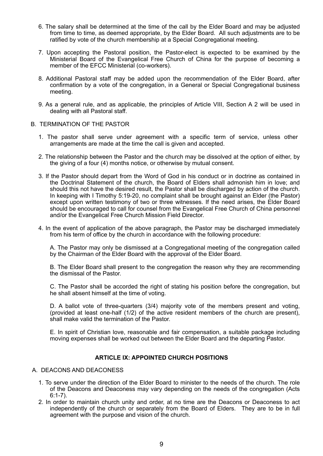- 6. The salary shall be determined at the time of the call by the Elder Board and may be adjusted from time to time, as deemed appropriate, by the Elder Board. All such adjustments are to be ratified by vote of the church membership at a Special Congregational meeting.
- 7. Upon accepting the Pastoral position, the Pastor-elect is expected to be examined by the Ministerial Board of the Evangelical Free Church of China for the purpose of becoming a member of the EFCC Ministerial (co-workers).
- 8. Additional Pastoral staff may be added upon the recommendation of the Elder Board, after confirmation by a vote of the congregation, in a General or Special Congregational business meeting.
- 9. As a general rule, and as applicable, the principles of Article VIII, Section A 2 will be used in dealing with all Pastoral staff.

#### B. TERMINATION OF THE PASTOR

- 1. The pastor shall serve under agreement with a specific term of service, unless other arrangements are made at the time the call is given and accepted.
- 2. The relationship between the Pastor and the church may be dissolved at the option of either, by the giving of a four (4) months notice, or otherwise by mutual consent.
- 3. If the Pastor should depart from the Word of God in his conduct or in doctrine as contained in the Doctrinal Statement of the church, the Board of Elders shall admonish him in love; and should this not have the desired result, the Pastor shall be discharged by action of the church. In keeping with I Timothy 5:19-20, no complaint shall be brought against an Elder (the Pastor) except upon written testimony of two or three witnesses. If the need arises, the Elder Board should be encouraged to call for counsel from the Evangelical Free Church of China personnel and/or the Evangelical Free Church Mission Field Director.
- 4. In the event of application of the above paragraph, the Pastor may be discharged immediately from his term of office by the church in accordance with the following procedure:

A. The Pastor may only be dismissed at a Congregational meeting of the congregation called by the Chairman of the Elder Board with the approval of the Elder Board.

B. The Elder Board shall present to the congregation the reason why they are recommending the dismissal of the Pastor.

C. The Pastor shall be accorded the right of stating his position before the congregation, but he shall absent himself at the time of voting.

D. A ballot vote of three-quarters (3/4) majority vote of the members present and voting, (provided at least one-half (1/2) of the active resident members of the church are present), shall make valid the termination of the Pastor.

E. In spirit of Christian love, reasonable and fair compensation, a suitable package including moving expenses shall be worked out between the Elder Board and the departing Pastor.

#### **ARTICLE IX: APPOINTED CHURCH POSITIONS**

#### A. DEACONS AND DEACONESS

- 1. To serve under the direction of the Elder Board to minister to the needs of the church. The role of the Deacons and Deaconess may vary depending on the needs of the congregation (Acts  $6:1 - 7$ )
- 2. In order to maintain church unity and order, at no time are the Deacons or Deaconess to act independently of the church or separately from the Board of Elders. They are to be in full agreement with the purpose and vision of the church.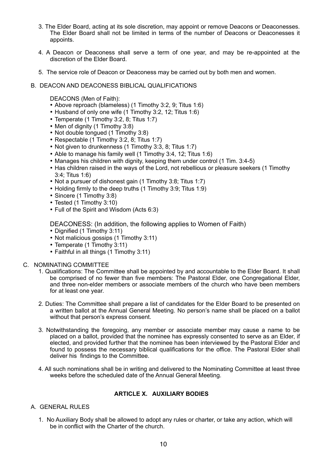- 3. The Elder Board, acting at its sole discretion, may appoint or remove Deacons or Deaconesses. The Elder Board shall not be limited in terms of the number of Deacons or Deaconesses it appoints.
- 4. A Deacon or Deaconess shall serve a term of one year, and may be re-appointed at the discretion of the Elder Board.
- 5. The service role of Deacon or Deaconess may be carried out by both men and women.
- B. DEACON AND DEACONESS BIBLICAL QUALIFICATIONS

DEACONS (Men of Faith):

- Above reproach (blameless) (1 Timothy 3:2, 9; Titus 1:6)
- Husband of only one wife (1 Timothy 3:2, 12; Titus 1:6)
- Temperate (1 Timothy 3:2, 8; Titus 1:7)
- Men of dignity (1 Timothy 3:8)
- Not double tongued (1 Timothy 3:8)
- Respectable (1 Timothy 3:2, 8; Titus 1:7)
- Not given to drunkenness (1 Timothy 3:3, 8; Titus 1:7)
- Able to manage his family well (1 Timothy 3:4, 12; Titus 1:6)
- Manages his children with dignity, keeping them under control (1 Tim. 3:4-5)
- Has children raised in the ways of the Lord, not rebellious or pleasure seekers (1 Timothy 3:4; Titus 1:6)
- Not a pursuer of dishonest gain (1 Timothy 3:8; Titus 1:7)
- Holding firmly to the deep truths (1 Timothy 3:9; Titus 1:9)
- Sincere (1 Timothy 3:8)
- Tested (1 Timothy 3:10)
- Full of the Spirit and Wisdom (Acts 6:3)

DEACONESS: (In addition, the following applies to Women of Faith)

- Dignified (1 Timothy 3:11)
- Not malicious gossips (1 Timothy 3:11)
- Temperate (1 Timothy 3:11)
- Faithful in all things (1 Timothy 3:11)

#### C. NOMINATING COMMITTEE

- 1. Qualifications: The Committee shall be appointed by and accountable to the Elder Board. It shall be comprised of no fewer than five members: The Pastoral Elder, one Congregational Elder, and three non-elder members or associate members of the church who have been members for at least one year.
- 2. Duties: The Committee shall prepare a list of candidates for the Elder Board to be presented on a written ballot at the Annual General Meeting. No person's name shall be placed on a ballot without that person's express consent.
- 3. Notwithstanding the foregoing, any member or associate member may cause a name to be placed on a ballot, provided that the nominee has expressly consented to serve as an Elder, if elected, and provided further that the nominee has been interviewed by the Pastoral Elder and found to possess the necessary biblical qualifications for the office. The Pastoral Elder shall deliver his findings to the Committee.
- 4. All such nominations shall be in writing and delivered to the Nominating Committee at least three weeks before the scheduled date of the Annual General Meeting.

# **ARTICLE X. AUXILIARY BODIES**

# A. GENERAL RULES

1. No Auxiliary Body shall be allowed to adopt any rules or charter, or take any action, which will be in conflict with the Charter of the church.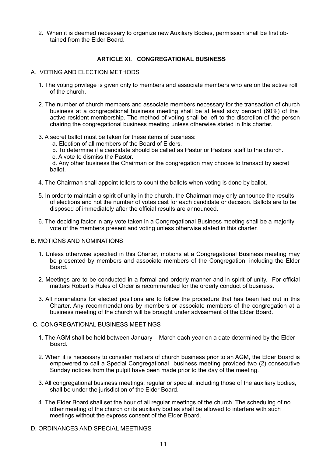2. When it is deemed necessary to organize new Auxiliary Bodies, permission shall be first obtained from the Elder Board.

#### **ARTICLE XI. CONGREGATIONAL BUSINESS**

- A. VOTING AND ELECTION METHODS
	- 1. The voting privilege is given only to members and associate members who are on the active roll of the church.
	- 2. The number of church members and associate members necessary for the transaction of church business at a congregational business meeting shall be at least sixty percent (60%) of the active resident membership. The method of voting shall be left to the discretion of the person chairing the congregational business meeting unless otherwise stated in this charter.
	- 3. A secret ballot must be taken for these items of business:
		- a. Election of all members of the Board of Elders.
		- b. To determine if a candidate should be called as Pastor or Pastoral staff to the church.
		- c. A vote to dismiss the Pastor.

 d. Any other business the Chairman or the congregation may choose to transact by secret ballot.

- 4. The Chairman shall appoint tellers to count the ballots when voting is done by ballot.
- 5. In order to maintain a spirit of unity in the church, the Chairman may only announce the results of elections and not the number of votes cast for each candidate or decision. Ballots are to be disposed of immediately after the official results are announced.
- 6. The deciding factor in any vote taken in a Congregational Business meeting shall be a majority vote of the members present and voting unless otherwise stated in this charter.

#### B. MOTIONS AND NOMINATIONS

- 1. Unless otherwise specified in this Charter, motions at a Congregational Business meeting may be presented by members and associate members of the Congregation, including the Elder Board.
- 2. Meetings are to be conducted in a formal and orderly manner and in spirit of unity. For official matters Robert's Rules of Order is recommended for the orderly conduct of business.
- 3. All nominations for elected positions are to follow the procedure that has been laid out in this Charter. Any recommendations by members or associate members of the congregation at a business meeting of the church will be brought under advisement of the Elder Board.

### C. CONGREGATIONAL BUSINESS MEETINGS

- 1. The AGM shall be held between January March each year on a date determined by the Elder Board.
- 2. When it is necessary to consider matters of church business prior to an AGM, the Elder Board is empowered to call a Special Congregational business meeting provided two (2) consecutive Sunday notices from the pulpit have been made prior to the day of the meeting.
- 3. All congregational business meetings, regular or special, including those of the auxiliary bodies, shall be under the jurisdiction of the Elder Board.
- 4. The Elder Board shall set the hour of all regular meetings of the church. The scheduling of no other meeting of the church or its auxiliary bodies shall be allowed to interfere with such meetings without the express consent of the Elder Board.

# D. ORDINANCES AND SPECIAL MEETINGS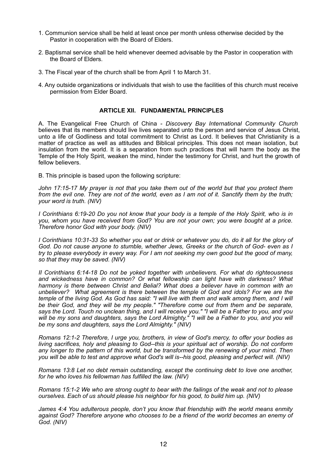- 1. Communion service shall be held at least once per month unless otherwise decided by the Pastor in cooperation with the Board of Elders.
- 2. Baptismal service shall be held whenever deemed advisable by the Pastor in cooperation with the Board of Elders.
- 3. The Fiscal year of the church shall be from April 1 to March 31.
- 4. Any outside organizations or individuals that wish to use the facilities of this church must receive permission from Elder Board.

#### **ARTICLE XII. FUNDAMENTAL PRINCIPLES**

A. The Evangelical Free Church of China *- Discovery Bay International Community Church* believes that its members should live lives separated unto the person and service of Jesus Christ, unto a life of Godliness and total commitment to Christ as Lord. It believes that Christianity is a matter of practice as well as attitudes and Biblical principles. This does not mean isolation, but insulation from the world. It is a separation from such practices that will harm the body as the Temple of the Holy Spirit, weaken the mind, hinder the testimony for Christ, and hurt the growth of fellow believers.

B. This principle is based upon the following scripture:

*John 17:15-17 My prayer is not that you take them out of the world but that you protect them from the evil one. They are not of the world, even as I am not of it. Sanctify them by the truth; your word is truth. (NIV)*

*I Corinthians 6:19-20 Do you not know that your body is a temple of the Holy Spirit, who is in you, whom you have received from God? You are not your own; you were bought at a price. Therefore honor God with your body. (NIV)*

*I Corinthians 10:31-33 So whether you eat or drink or whatever you do, do it all for the glory of God. Do not cause anyone to stumble, whether Jews, Greeks or the church of God- even as I try to please everybody in every way. For I am not seeking my own good but the good of many, so that they may be saved. (NIV)*

*II Corinthians 6:14-18 Do not be yoked together with unbelievers. For what do righteousness and wickedness have in common? Or what fellowship can light have with darkness? What harmony is there between Christ and Belial? What does a believer have in common with an unbeliever? What agreement is there between the temple of God and idols? For we are the temple of the living God. As God has said: "I will live with them and walk among them, and I will be their God, and they will be my people." "Therefore come out from them and be separate, says the Lord. Touch no unclean thing, and I will receive you." "I will be a Father to you, and you will be my sons and daughters, says the Lord Almighty." "I will be a Father to you, and you will be my sons and daughters, says the Lord Almighty." (NIV)*

*Romans 12:1-2 Therefore, I urge you, brothers, in view of God's mercy, to offer your bodies as living sacrifices, holy and pleasing to God--this is your spiritual act of worship. Do not conform any longer to the pattern of this world, but be transformed by the renewing of your mind. Then you will be able to test and approve what God's will is--his good, pleasing and perfect will. (NIV)*

*Romans 13:8 Let no debt remain outstanding, except the continuing debt to love one another, for he who loves his fellowman has fulfilled the law. (NIV)*

*Romans 15:1-2 We who are strong ought to bear with the failings of the weak and not to please ourselves. Each of us should please his neighbor for his good, to build him up. (NIV)*

*James 4:4 You adulterous people, don't you know that friendship with the world means enmity against God? Therefore anyone who chooses to be a friend of the world becomes an enemy of God. (NIV)*